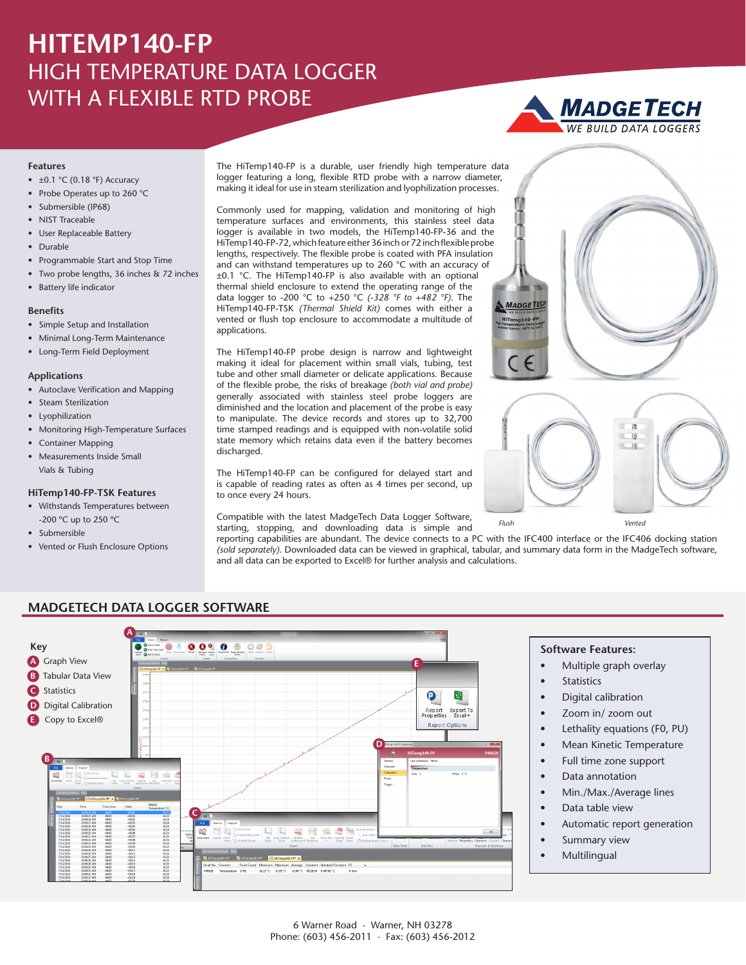## **HITEMP140-FP** HIGH TEMPERATURE DATA LOGGER WITH A FLEXIBLE RTD PROBE

# **MADGETECH**

#### **Features**

- $\bullet$  ±0.1 °C (0.18 °F) Accuracy
- Probe Operates up to 260 °C
- Submersible (IP68)
- NIST Traceable
- User Replaceable Battery
- Durable
- Programmable Start and Stop Time
- Two probe lengths, 36 inches & 72 inches
- Battery life indicator

#### **Benefits**

- Simple Setup and Installation
- Minimal Long-Term Maintenance
- Long-Term Field Deployment

#### **Applications**

- Autoclave Verification and Mapping
- Steam Sterilization
- Lyophilization
- Monitoring High-Temperature Surfaces
- Container Mapping
- Measurements Inside Small Vials & Tubing

#### **HiTemp140-FP-TSK Features**

- Withstands Temperatures between -200 ºC up to 250 ºC
- Submersible
- Vented or Flush Enclosure Options

The HiTemp140-FP is a durable, user friendly high temperature data logger featuring a long, flexible RTD probe with a narrow diameter, making it ideal for use in steam sterilization and lyophilization processes.

Commonly used for mapping, validation and monitoring of high temperature surfaces and environments, this stainless steel data logger is available in two models, the HiTemp140-FP-36 and the HiTemp140-FP-72, which feature either 36 inch or 72 inch flexible probe lengths, respectively. The flexible probe is coated with PFA insulation and can withstand temperatures up to 260 °C with an accuracy of ±0.1 °C. The HiTemp140-FP is also available with an optional thermal shield enclosure to extend the operating range of the data logger to -200 °C to +250 °C *(-328 °F to +482 °F)*. The HiTemp140-FP-TSK *(Thermal Shield Kit)* comes with either a vented or flush top enclosure to accommodate a multitude of applications.

The HiTemp140-FP probe design is narrow and lightweight making it ideal for placement within small vials, tubing, test tube and other small diameter or delicate applications. Because of the flexible probe, the risks of breakage *(both vial and probe)* generally associated with stainless steel probe loggers are diminished and the location and placement of the probe is easy to manipulate. The device records and stores up to 32,700 time stamped readings and is equipped with non-volatile solid state memory which retains data even if the battery becomes discharged.

The HiTemp140-FP can be configured for delayed start and is capable of reading rates as often as 4 times per second, up to once every 24 hours.

Compatible with the latest MadgeTech Data Logger Software, starting, stopping, and downloading data is simple and

reporting capabilities are abundant. The device connects to a PC with the IFC400 interface or the IFC406 docking station *(sold separately)*. Downloaded data can be viewed in graphical, tabular, and summary data form in the MadgeTech software, and all data can be exported to Excel® for further analysis and calculations.



#### **MADGETECH DATA LOGGER SOFTWARE**



 $\alpha$ U

#### **Software Features:**

- Multiple graph overlay
- **Statistics**

*Flush Vented*

**MADGETE** 

- Digital calibration
- Zoom in/ zoom out
- Lethality equations (F0, PU)
- Mean Kinetic Temperature
- Full time zone support
- Data annotation
- Min./Max./Average lines
- Data table view
- Automatic report generation
- Summary view
- **Multilingual**